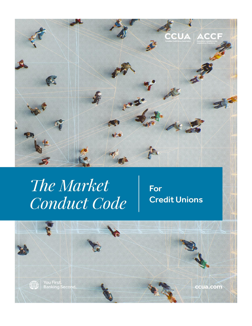

# The Market **Conduct Code**

For **Credit Unions** 

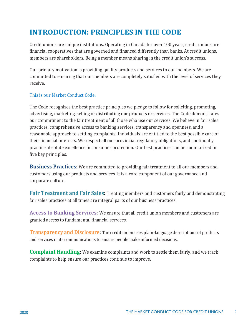# **INTRODUCTION: PRINCIPLES IN THE CODE**

Credit unions are unique institutions. Operating in Canada for over 100 years, credit unions are financial cooperatives that are governed and financed differently than banks. At credit unions, members are shareholders. Being a member means sharing in the credit union's success.

Our primary motivation is providing quality products and services to our members. We are committed to ensuring that our members are completely satisfied with the level of services they receive.

#### This is our Market Conduct Code.

The Code recognizes the best practice principles we pledge to follow for soliciting, promoting, advertising, marketing, selling or distributing our products or services. The Code demonstrates our commitment to the fair treatment of all those who use our services. We believe in fair sales practices, comprehensive access to banking services, transparency and openness, and a reasonable approach to settling complaints. Individuals are entitled to the best possible care of their financial interests. We respect all our provincial regulatory obligations, and continually practice absolute excellence in consumer protection. Our best practices can be summarized in five key principles:

**Business Practices**: We are committed to providing fair treatment to all our members and customers using our products and services. It is a core component of our governance and corporate culture.

**Fair Treatment and Fair Sales**: Treating members and customers fairly and demonstrating fair sales practices at all times are integral parts of our business practices.

**Access to Banking Services**: We ensure that all credit union members and customers are granted access to fundamental financial services.

**Transparency and Disclosure**: The credit union uses plain-language descriptions of products and services in its communications to ensure people make informed decisions.

**Complaint Handling**: We examine complaints and work to settle them fairly, and we track complaints to help ensure our practices continue to improve*.*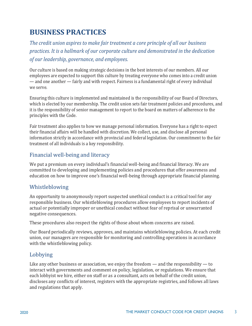# **BUSINESS PRACTICES**

*The credit union aspires to make fair treatment a core principle of all our business practices. It is a hallmark of our corporate culture and demonstrated in the dedication of our leadership, governance, and employees.*

Our culture is based on making strategic decisions in the best interests of our members. All our employees are expected to support this culture by treating everyone who comes into a credit union — and one another — fairly and with respect. Fairness is a fundamental right of every individual we serve.

Ensuring this culture is implemented and maintained is the responsibility of our Board of Directors, which is elected by our membership. The credit union sets fair treatment policies and procedures, and it is the responsibility of senior management to report to the board on matters of adherence to the principles with the Code.

Fair treatment also applies to how we manage personal information. Everyone has a right to expect their financial affairs will be handled with discretion. We collect, use, and disclose all personal information strictly in accordance with provincial and federal legislation. Our commitment to the fair treatment of all individuals is a key responsibility.

### Financial well-being and literacy

We put a premium on every individual's financial well-being and financial literacy. We are committed to developing and implementing policies and procedures that offer awareness and education on how to improve one's financial well-being through appropriate financial planning.

### Whistleblowing

An opportunity to anonymously report suspected unethical conduct is a critical tool for any responsible business. Our whistleblowing procedures allow employees to report incidents of actual or potentially improper or unethical conduct without fear of reprisal or unwarranted negative consequences.

These procedures also respect the rights of those about whom concerns are raised.

Our Board periodically reviews, approves, and maintains whistleblowing policies. At each credit union, our managers are responsible for monitoring and controlling operations in accordance with the whistleblowing policy.

### Lobbying

Like any other business or association, we enjoy the freedom — and the responsibility — to interact with governments and comment on policy, legislation, or regulations. We ensure that each lobbyist we hire, either on staff or as a consultant, acts on behalf of the credit union, discloses any conflicts of interest, registers with the appropriate registries, and follows all laws and regulations that apply.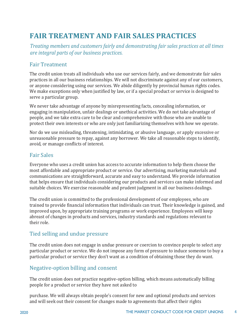# **FAIR TREATMENT AND FAIR SALES PRACTICES**

*Treating members and customers fairly and demonstrating fair sales practices at all times are integral parts of our business practices.*

#### Fair Treatment

The credit union treats all individuals who use our services fairly, and we demonstrate fair sales practices in all our business relationships. We will not discriminate against any of our customers, or anyone considering using our services. We abide diligently by provincial human rights codes. We make exceptions only when justified by law, or if a special product or service is designed to serve a particular group.

We never take advantage of anyone by misrepresenting facts, concealing information, or engaging in manipulation, unfair dealings or unethical activities. We do not take advantage of people, and we take extra care to be clear and comprehensive with those who are unable to protect their own interests or who are only just familiarizing themselves with how we operate.

Nor do we use misleading, threatening, intimidating, or abusive language, or apply excessive or unreasonable pressure to repay, against any borrower. We take all reasonable steps to identify, avoid, or manage conflicts of interest.

#### Fair Sales

Everyone who uses a credit union has access to accurate information to help them choose the most affordable and appropriate product or service. Our advertising, marketing materials and communications are straightforward, accurate and easy to understand. We provide information that helps ensure that individuals considering our products and services can make informed and suitable choices. We exercise reasonable and prudent judgment in all our business dealings.

The credit union is committed to the professional development of our employees, who are trained to provide financial information that individuals can trust. Their knowledge is gained, and improved upon, by appropriate training programs or work experience. Employees will keep abreast of changes in products and services, industry standards and regulations relevant to their role.

### Tied selling and undue pressure

The credit union does not engage in undue pressure or coercion to convince people to select any particular product or service. We do not impose any form of pressure to induce someone to buy a particular product or service they don't want as a condition of obtaining those they do want.

### Negative-option billing and consent

The credit union does not practice negative-option billing, which means automatically billing people for a product or service they have not asked to

purchase. We will always obtain people's consent for new and optional products and services and will seek out their consent for changes made to agreements that affect their rights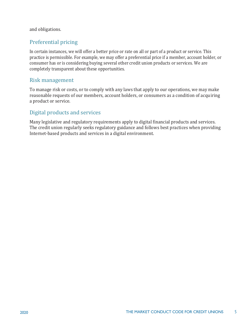and obligations.

### Preferential pricing

In certain instances, we will offer a better price or rate on all or part of a product or service. This practice is permissible. For example, we may offer a preferential price if a member, account holder, or consumer has or is considering buying several other credit union products or services. We are completely transparent about these opportunities.

#### Risk management

To manage risk or costs, or to comply with any laws that apply to our operations, we may make reasonable requests of our members, account holders, or consumers as a condition of acquiring a product or service.

### Digital products and services

Many legislative and regulatory requirements apply to digital financial products and services. The credit union regularly seeks regulatory guidance and follows best practices when providing Internet-based products and services in a digital environment.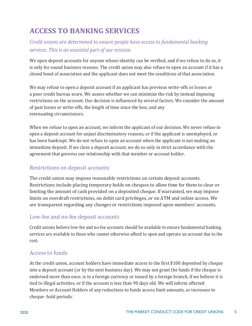# **ACCESS TO BANKING SERVICES**

## *Credit unions are determined to ensure people have access to fundamental banking services. This is an essential part of our mission.*

We open deposit accounts for anyone whose identity can be verified, and if we refuse to do so, it is only for sound business reasons. The credit union may also refuse to open an account if it has a closed bond of association and the applicant does not meet the conditions of that association.

We may refuse to open a deposit account if an applicant has previous write-offs or losses or a poor credit bureau score. We assess whether we can minimize the risk by instead imposing restrictions on the account. Our decision is influenced by several factors. We consider the amount of past losses or write-offs, the length of time since the loss, and any extenuating circumstances.

When we refuse to open an account, we inform the applicant of our decision. We never refuse to open a deposit account for unjust discriminatory reasons, or if the applicant is unemployed, or has been bankrupt. We do not refuse to open an account when the applicant is not making an immediate deposit. If we close a deposit account, we do so only in strict accordance with the agreement that governs our relationship with that member or account holder.

### Restrictions on deposit accounts

The credit union may impose reasonable restrictions on certain deposit accounts. Restrictions include placing temporary holds on cheques to allow time for them to clear or limiting the amount of cash provided on a deposited cheque. If warranted, we may impose limits on overdraft restrictions, on debit card privileges, or on ATM and online access. We are transparent regarding any changes or restrictions imposed upon members' accounts.

### Low-fee and no-fee deposit accounts

Credit unions believe low-fee and no-fee accounts should be available to ensure fundamental banking services are available to those who cannot otherwise afford to open and operate an account due to the cost.

### Access to funds

At the credit union, account holders have immediate access to the first \$100 deposited by cheque into a deposit account (or by the next business day). We may not grant the funds if the cheque is endorsed more than once, is in a foreign currency or issued by a foreign branch, if we believe it is tied to illegal activities, or if the account is less than 90 days old. We will inform affected Members or Account Holders of any reductions to funds access limit amounts, or increases to cheque- hold periods.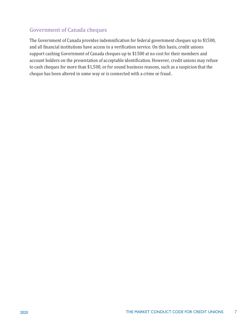### Government of Canada cheques

The Government of Canada provides indemnification for federal government cheques up to \$1500, and all financial institutions have access to a verification service. On this basis, credit unions support cashing Government of Canada cheques up to \$1500 at no cost for their members and account holders on the presentation of acceptable identification. However, credit unions may refuse to cash cheques for more than \$1,500, or for sound business reasons, such as a suspicion that the cheque has been altered in some way or is connected with a crime or fraud.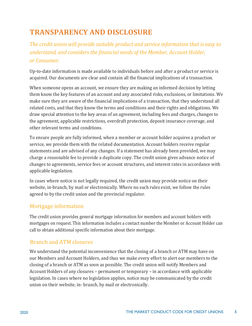# **TRANSPARENCY AND DISCLOSURE**

*The credit union will provide suitable product and service information that is easy to understand, and considers the financial needs of the Member, Account Holder, or Consumer.* 

Up-to-date information is made available to individuals before and after a product or service is acquired. Our documents are clear and contain all the financial implications of a transaction.

When someone opens an account, we ensure they are making an informed decision by letting them know the key features of an account and any associated risks, exclusions, or limitations. We make sure they are aware of the financial implications of a transaction, that they understand all related costs, and that they know the terms and conditions and their rights and obligations. We draw special attention to the key areas of an agreement, including fees and charges, changes to the agreement, applicable restrictions, overdraft protection, deposit insurance coverage, and other relevant terms and conditions.

To ensure people are fully informed, when a member or account holder acquires a product or service, we provide them with the related documentation. Account holders receive regular statements and are advised of any changes. If a statement has already been provided, we may charge a reasonable fee to provide a duplicate copy. The credit union gives advance notice of changes to agreements, service fees or account structures, and interest rates in accordance with applicable legislation.

In cases where notice is not legally required, the credit union may provide notice on their website, in-branch, by mail or electronically. Where no such rules exist, we follow the rules agreed to by the credit union and the provincial regulator.

### Mortgage information

The credit union provides general mortgage information for members and account holders with mortgages on request. This information includes a contact number the Member or Account Holder can call to obtain additional specific information about their mortgage.

### Branch and ATM closures

We understand the potential inconvenience that the closing of a branch or ATM may have on our Members and Account Holders, and thus we make every effort to alert our members to the closing of a branch or ATM as soon as possible. The credit union will notify Members and Account Holders of any closures – permanent or temporary – in accordance with applicable legislation. In cases where no legislation applies, notice may be communicated by the credit union on their website, in- branch, by mail or electronically.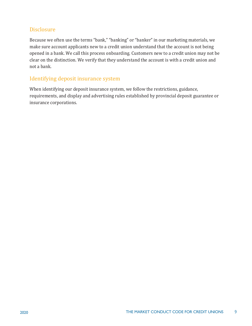### **Disclosure**

Because we often use the terms "bank," "banking" or "banker" in our marketing materials, we make sure account applicants new to a credit union understand that the account is not being opened in a bank. We call this process onboarding. Customers new to a credit union may not be clear on the distinction. We verify that they understand the account is with a credit union and not a bank.

### Identifying deposit insurance system

When identifying our deposit insurance system, we follow the restrictions, guidance, requirements, and display and advertising rules established by provincial deposit guarantee or insurance corporations.